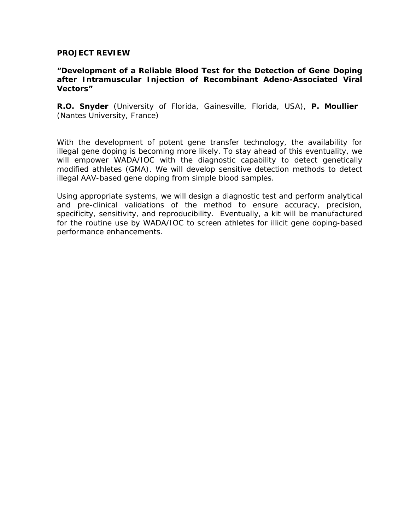## **PROJECT REVIEW**

## **"Development of a Reliable Blood Test for the Detection of Gene Doping after Intramuscular Injection of Recombinant Adeno-Associated Viral Vectors"**

**R.O. Snyder** (University of Florida, Gainesville, Florida, USA), **P. Moullier**  (Nantes University, France)

With the development of potent gene transfer technology, the availability for illegal gene doping is becoming more likely. To stay ahead of this eventuality, we will empower WADA/IOC with the diagnostic capability to detect genetically modified athletes (GMA). We will develop sensitive detection methods to detect illegal AAV-based gene doping from simple blood samples.

Using appropriate systems, we will design a diagnostic test and perform analytical and pre-clinical validations of the method to ensure accuracy, precision, specificity, sensitivity, and reproducibility. Eventually, a kit will be manufactured for the routine use by WADA/IOC to screen athletes for illicit gene doping-based performance enhancements.